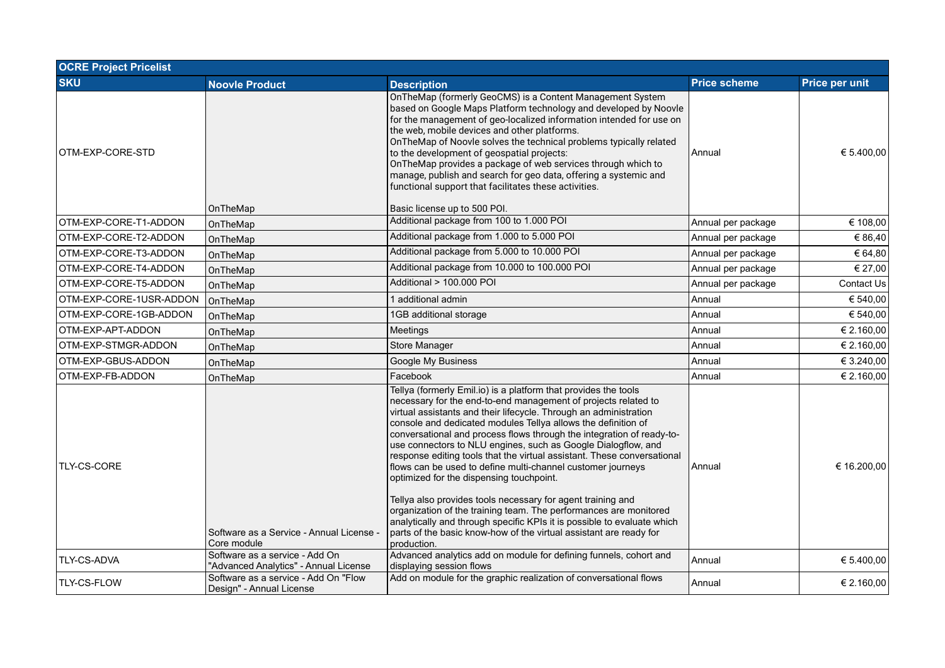| <b>OCRE Project Pricelist</b> |                                                                         |                                                                                                                                                                                                                                                                                                                                                                                                                                                                                                                                                                                                                                                                                                                                                                                                                                                                                                             |                     |                   |  |
|-------------------------------|-------------------------------------------------------------------------|-------------------------------------------------------------------------------------------------------------------------------------------------------------------------------------------------------------------------------------------------------------------------------------------------------------------------------------------------------------------------------------------------------------------------------------------------------------------------------------------------------------------------------------------------------------------------------------------------------------------------------------------------------------------------------------------------------------------------------------------------------------------------------------------------------------------------------------------------------------------------------------------------------------|---------------------|-------------------|--|
| <b>SKU</b>                    | <b>Noovle Product</b>                                                   | <b>Description</b>                                                                                                                                                                                                                                                                                                                                                                                                                                                                                                                                                                                                                                                                                                                                                                                                                                                                                          | <b>Price scheme</b> | Price per unit    |  |
| OTM-EXP-CORE-STD              | OnTheMap                                                                | On The Map (formerly GeoCMS) is a Content Management System<br>based on Google Maps Platform technology and developed by Noovle<br>for the management of geo-localized information intended for use on<br>the web, mobile devices and other platforms.<br>On The Map of Noovle solves the technical problems typically related<br>to the development of geospatial projects:<br>On The Map provides a package of web services through which to<br>manage, publish and search for geo data, offering a systemic and<br>functional support that facilitates these activities.<br>Basic license up to 500 POI.                                                                                                                                                                                                                                                                                                 | Annual              | € 5.400,00        |  |
| OTM-EXP-CORE-T1-ADDON         | OnTheMap                                                                | Additional package from 100 to 1.000 POI                                                                                                                                                                                                                                                                                                                                                                                                                                                                                                                                                                                                                                                                                                                                                                                                                                                                    | Annual per package  | € 108,00          |  |
| OTM-EXP-CORE-T2-ADDON         | OnTheMap                                                                | Additional package from 1.000 to 5.000 POI                                                                                                                                                                                                                                                                                                                                                                                                                                                                                                                                                                                                                                                                                                                                                                                                                                                                  | Annual per package  | € 86,40           |  |
| OTM-EXP-CORE-T3-ADDON         | OnTheMap                                                                | Additional package from 5.000 to 10.000 POI                                                                                                                                                                                                                                                                                                                                                                                                                                                                                                                                                                                                                                                                                                                                                                                                                                                                 | Annual per package  | € 64,80           |  |
| OTM-EXP-CORE-T4-ADDON         | OnTheMap                                                                | Additional package from 10.000 to 100.000 POI                                                                                                                                                                                                                                                                                                                                                                                                                                                                                                                                                                                                                                                                                                                                                                                                                                                               | Annual per package  | € 27,00           |  |
| OTM-EXP-CORE-T5-ADDON         | OnTheMap                                                                | Additional > 100.000 POI                                                                                                                                                                                                                                                                                                                                                                                                                                                                                                                                                                                                                                                                                                                                                                                                                                                                                    | Annual per package  | <b>Contact Us</b> |  |
| OTM-EXP-CORE-1USR-ADDON       | OnTheMap                                                                | 1 additional admin                                                                                                                                                                                                                                                                                                                                                                                                                                                                                                                                                                                                                                                                                                                                                                                                                                                                                          | Annual              | € 540,00          |  |
| OTM-EXP-CORE-1GB-ADDON        | OnTheMap                                                                | 1GB additional storage                                                                                                                                                                                                                                                                                                                                                                                                                                                                                                                                                                                                                                                                                                                                                                                                                                                                                      | Annual              | € 540,00          |  |
| OTM-EXP-APT-ADDON             | OnTheMap                                                                | Meetings                                                                                                                                                                                                                                                                                                                                                                                                                                                                                                                                                                                                                                                                                                                                                                                                                                                                                                    | Annual              | € 2.160,00        |  |
| OTM-EXP-STMGR-ADDON           | OnTheMap                                                                | Store Manager                                                                                                                                                                                                                                                                                                                                                                                                                                                                                                                                                                                                                                                                                                                                                                                                                                                                                               | Annual              | € 2.160,00        |  |
| OTM-EXP-GBUS-ADDON            | OnTheMap                                                                | Google My Business                                                                                                                                                                                                                                                                                                                                                                                                                                                                                                                                                                                                                                                                                                                                                                                                                                                                                          | Annual              | € 3.240,00        |  |
| OTM-EXP-FB-ADDON              | OnTheMap                                                                | Facebook                                                                                                                                                                                                                                                                                                                                                                                                                                                                                                                                                                                                                                                                                                                                                                                                                                                                                                    | Annual              | € 2.160,00        |  |
| TLY-CS-CORE                   | Software as a Service - Annual License -<br>Core module                 | Tellya (formerly Emil.io) is a platform that provides the tools<br>necessary for the end-to-end management of projects related to<br>virtual assistants and their lifecycle. Through an administration<br>console and dedicated modules Tellya allows the definition of<br>conversational and process flows through the integration of ready-to-<br>use connectors to NLU engines, such as Google Dialogflow, and<br>response editing tools that the virtual assistant. These conversational<br>flows can be used to define multi-channel customer journeys<br>optimized for the dispensing touchpoint.<br>Tellya also provides tools necessary for agent training and<br>organization of the training team. The performances are monitored<br>analytically and through specific KPIs it is possible to evaluate which<br>parts of the basic know-how of the virtual assistant are ready for<br>production. | Annual              | € 16.200,00       |  |
| <b>TLY-CS-ADVA</b>            | Software as a service - Add On<br>"Advanced Analytics" - Annual License | Advanced analytics add on module for defining funnels, cohort and<br>displaying session flows                                                                                                                                                                                                                                                                                                                                                                                                                                                                                                                                                                                                                                                                                                                                                                                                               | Annual              | € 5.400,00        |  |
| <b>TLY-CS-FLOW</b>            | Software as a service - Add On "Flow<br>Design" - Annual License        | Add on module for the graphic realization of conversational flows                                                                                                                                                                                                                                                                                                                                                                                                                                                                                                                                                                                                                                                                                                                                                                                                                                           | Annual              | € 2.160,00        |  |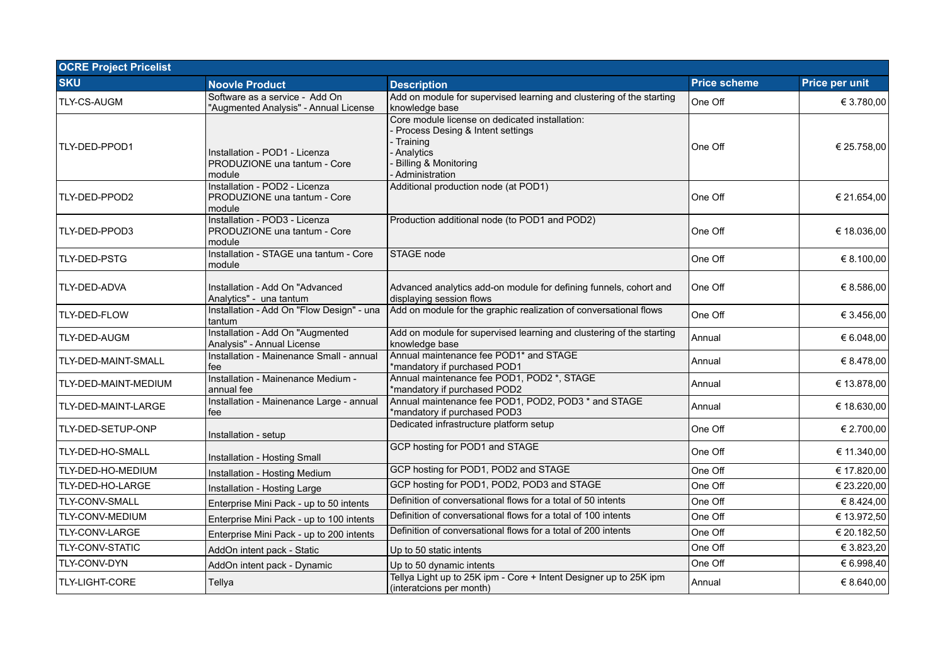| <b>OCRE Project Pricelist</b> |                                                                         |                                                                                                                                                         |                     |                |  |
|-------------------------------|-------------------------------------------------------------------------|---------------------------------------------------------------------------------------------------------------------------------------------------------|---------------------|----------------|--|
| <b>SKU</b>                    | <b>Noovle Product</b>                                                   | <b>Description</b>                                                                                                                                      | <b>Price scheme</b> | Price per unit |  |
| <b>TLY-CS-AUGM</b>            | Software as a service - Add On<br>"Augmented Analysis" - Annual License | Add on module for supervised learning and clustering of the starting<br>knowledge base                                                                  | One Off             | € 3.780,00     |  |
| TLY-DED-PPOD1                 | Installation - POD1 - Licenza<br>PRODUZIONE una tantum - Core<br>module | Core module license on dedicated installation:<br>Process Desing & Intent settings<br>Training<br>Analytics<br>Billing & Monitoring<br>- Administration | One Off             | € 25.758,00    |  |
| TLY-DED-PPOD2                 | Installation - POD2 - Licenza<br>PRODUZIONE una tantum - Core<br>module | Additional production node (at POD1)                                                                                                                    | One Off             | € 21.654,00    |  |
| TLY-DED-PPOD3                 | Installation - POD3 - Licenza<br>PRODUZIONE una tantum - Core<br>module | Production additional node (to POD1 and POD2)                                                                                                           | One Off             | € 18.036,00    |  |
| TLY-DED-PSTG                  | Installation - STAGE una tantum - Core<br>module                        | STAGE node                                                                                                                                              | One Off             | € 8.100,00     |  |
| <b>TLY-DED-ADVA</b>           | Installation - Add On "Advanced<br>Analytics" - una tantum              | Advanced analytics add-on module for defining funnels, cohort and<br>displaying session flows                                                           | One Off             | € 8.586,00     |  |
| TLY-DED-FLOW                  | Installation - Add On "Flow Design" - una<br>tantum                     | Add on module for the graphic realization of conversational flows                                                                                       | One Off             | € 3.456,00     |  |
| TLY-DED-AUGM                  | Installation - Add On "Augmented<br>Analysis" - Annual License          | Add on module for supervised learning and clustering of the starting<br>knowledge base                                                                  | Annual              | € 6.048,00     |  |
| TLY-DED-MAINT-SMALL           | Installation - Mainenance Small - annual<br>fee                         | Annual maintenance fee POD1* and STAGE<br>*mandatory if purchased POD1                                                                                  | Annual              | € 8.478,00     |  |
| TLY-DED-MAINT-MEDIUM          | Installation - Mainenance Medium -<br>annual fee                        | Annual maintenance fee POD1, POD2 *, STAGE<br>*mandatory if purchased POD2                                                                              | Annual              | € 13.878,00    |  |
| TLY-DED-MAINT-LARGE           | Installation - Mainenance Large - annual<br>fee                         | Annual maintenance fee POD1, POD2, POD3 * and STAGE<br>*mandatory if purchased POD3                                                                     | Annual              | € 18.630,00    |  |
| TLY-DED-SETUP-ONP             | Installation - setup                                                    | Dedicated infrastructure platform setup                                                                                                                 | One Off             | € 2.700,00     |  |
| TLY-DED-HO-SMALL              | Installation - Hosting Small                                            | GCP hosting for POD1 and STAGE                                                                                                                          | One Off             | € 11.340,00    |  |
| TLY-DED-HO-MEDIUM             | Installation - Hosting Medium                                           | GCP hosting for POD1, POD2 and STAGE                                                                                                                    | One Off             | € 17.820,00    |  |
| TLY-DED-HO-LARGE              | Installation - Hosting Large                                            | GCP hosting for POD1, POD2, POD3 and STAGE                                                                                                              | One Off             | € 23.220,00    |  |
| TLY-CONV-SMALL                | Enterprise Mini Pack - up to 50 intents                                 | Definition of conversational flows for a total of 50 intents                                                                                            | One Off             | € 8.424,00     |  |
| TLY-CONV-MEDIUM               | Enterprise Mini Pack - up to 100 intents                                | Definition of conversational flows for a total of 100 intents                                                                                           | One Off             | € 13.972,50    |  |
| TLY-CONV-LARGE                | Enterprise Mini Pack - up to 200 intents                                | Definition of conversational flows for a total of 200 intents                                                                                           | One Off             | € 20.182,50    |  |
| TLY-CONV-STATIC               | AddOn intent pack - Static                                              | Up to 50 static intents                                                                                                                                 | One Off             | € 3.823,20     |  |
| TLY-CONV-DYN                  | AddOn intent pack - Dynamic                                             | Up to 50 dynamic intents                                                                                                                                | One Off             | € 6.998,40     |  |
| TLY-LIGHT-CORE                | Tellya                                                                  | Tellya Light up to 25K ipm - Core + Intent Designer up to 25K ipm<br>(interatcions per month)                                                           | Annual              | € 8.640,00     |  |